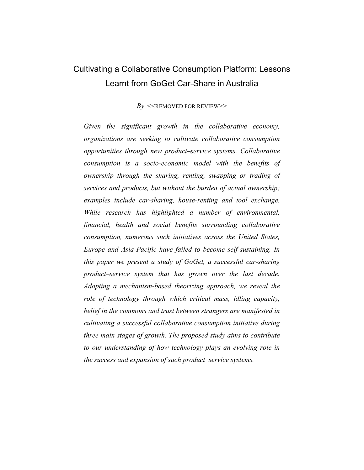# Cultivating a Collaborative Consumption Platform: Lessons Learnt from GoGet Car-Share in Australia

 $By \ll R$ EMOVED FOR REVIEW $\gg$ 

*Given the significant growth in the collaborative economy, organizations are seeking to cultivate collaborative consumption opportunities through new product–service systems. Collaborative consumption is a socio-economic model with the benefits of ownership through the sharing, renting, swapping or trading of services and products, but without the burden of actual ownership; examples include car-sharing, house-renting and tool exchange. While research has highlighted a number of environmental, financial, health and social benefits surrounding collaborative consumption, numerous such initiatives across the United States, Europe and Asia-Pacific have failed to become self-sustaining. In this paper we present a study of GoGet, a successful car-sharing product–service system that has grown over the last decade. Adopting a mechanism-based theorizing approach, we reveal the role of technology through which critical mass, idling capacity, belief in the commons and trust between strangers are manifested in cultivating a successful collaborative consumption initiative during three main stages of growth. The proposed study aims to contribute to our understanding of how technology plays an evolving role in the success and expansion of such product–service systems.*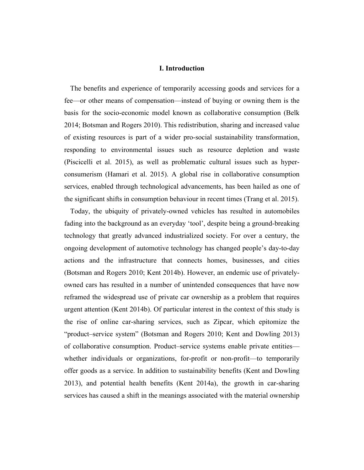#### **I. Introduction**

The benefits and experience of temporarily accessing goods and services for a fee—or other means of compensation—instead of buying or owning them is the basis for the socio-economic model known as collaborative consumption (Belk 2014; Botsman and Rogers 2010). This redistribution, sharing and increased value of existing resources is part of a wider pro-social sustainability transformation, responding to environmental issues such as resource depletion and waste (Piscicelli et al. 2015), as well as problematic cultural issues such as hyperconsumerism (Hamari et al. 2015). A global rise in collaborative consumption services, enabled through technological advancements, has been hailed as one of the significant shifts in consumption behaviour in recent times (Trang et al. 2015).

Today, the ubiquity of privately-owned vehicles has resulted in automobiles fading into the background as an everyday 'tool', despite being a ground-breaking technology that greatly advanced industrialized society. For over a century, the ongoing development of automotive technology has changed people's day-to-day actions and the infrastructure that connects homes, businesses, and cities (Botsman and Rogers 2010; Kent 2014b). However, an endemic use of privatelyowned cars has resulted in a number of unintended consequences that have now reframed the widespread use of private car ownership as a problem that requires urgent attention (Kent 2014b). Of particular interest in the context of this study is the rise of online car-sharing services, such as Zipcar, which epitomize the "product–service system" (Botsman and Rogers 2010; Kent and Dowling 2013) of collaborative consumption. Product–service systems enable private entities whether individuals or organizations, for-profit or non-profit—to temporarily offer goods as a service. In addition to sustainability benefits (Kent and Dowling 2013), and potential health benefits (Kent 2014a), the growth in car-sharing services has caused a shift in the meanings associated with the material ownership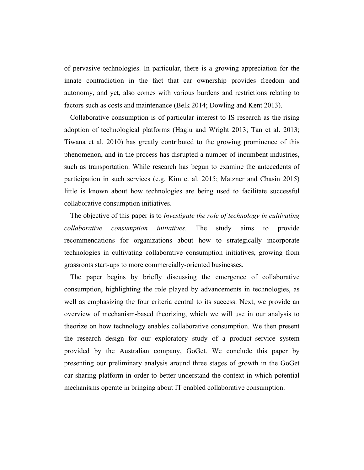of pervasive technologies. In particular, there is a growing appreciation for the innate contradiction in the fact that car ownership provides freedom and autonomy, and yet, also comes with various burdens and restrictions relating to factors such as costs and maintenance (Belk 2014; Dowling and Kent 2013).

Collaborative consumption is of particular interest to IS research as the rising adoption of technological platforms (Hagiu and Wright 2013; Tan et al. 2013; Tiwana et al. 2010) has greatly contributed to the growing prominence of this phenomenon, and in the process has disrupted a number of incumbent industries, such as transportation. While research has begun to examine the antecedents of participation in such services (e.g. Kim et al. 2015; Matzner and Chasin 2015) little is known about how technologies are being used to facilitate successful collaborative consumption initiatives.

The objective of this paper is to *investigate the role of technology in cultivating collaborative consumption initiatives*. The study aims to provide recommendations for organizations about how to strategically incorporate technologies in cultivating collaborative consumption initiatives, growing from grassroots start-ups to more commercially-oriented businesses.

The paper begins by briefly discussing the emergence of collaborative consumption, highlighting the role played by advancements in technologies, as well as emphasizing the four criteria central to its success. Next, we provide an overview of mechanism-based theorizing, which we will use in our analysis to theorize on how technology enables collaborative consumption. We then present the research design for our exploratory study of a product–service system provided by the Australian company, GoGet. We conclude this paper by presenting our preliminary analysis around three stages of growth in the GoGet car-sharing platform in order to better understand the context in which potential mechanisms operate in bringing about IT enabled collaborative consumption.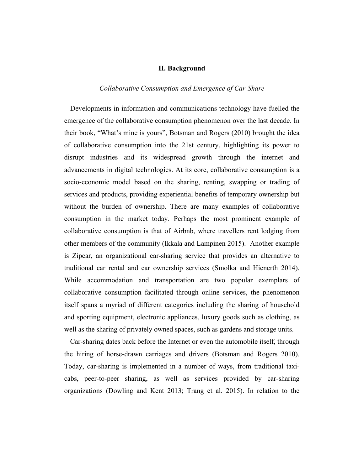# **II. Background**

## *Collaborative Consumption and Emergence of Car-Share*

Developments in information and communications technology have fuelled the emergence of the collaborative consumption phenomenon over the last decade. In their book, "What's mine is yours", Botsman and Rogers (2010) brought the idea of collaborative consumption into the 21st century, highlighting its power to disrupt industries and its widespread growth through the internet and advancements in digital technologies. At its core, collaborative consumption is a socio-economic model based on the sharing, renting, swapping or trading of services and products, providing experiential benefits of temporary ownership but without the burden of ownership. There are many examples of collaborative consumption in the market today. Perhaps the most prominent example of collaborative consumption is that of Airbnb, where travellers rent lodging from other members of the community (Ikkala and Lampinen 2015). Another example is Zipcar, an organizational car-sharing service that provides an alternative to traditional car rental and car ownership services (Smolka and Hienerth 2014). While accommodation and transportation are two popular exemplars of collaborative consumption facilitated through online services, the phenomenon itself spans a myriad of different categories including the sharing of household and sporting equipment, electronic appliances, luxury goods such as clothing, as well as the sharing of privately owned spaces, such as gardens and storage units.

Car-sharing dates back before the Internet or even the automobile itself, through the hiring of horse-drawn carriages and drivers (Botsman and Rogers 2010). Today, car-sharing is implemented in a number of ways, from traditional taxicabs, peer-to-peer sharing, as well as services provided by car-sharing organizations (Dowling and Kent 2013; Trang et al. 2015). In relation to the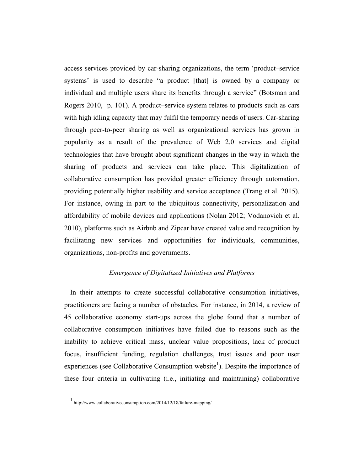access services provided by car-sharing organizations, the term 'product–service systems' is used to describe "a product [that] is owned by a company or individual and multiple users share its benefits through a service" (Botsman and Rogers 2010, p. 101). A product–service system relates to products such as cars with high idling capacity that may fulfil the temporary needs of users. Car-sharing through peer-to-peer sharing as well as organizational services has grown in popularity as a result of the prevalence of Web 2.0 services and digital technologies that have brought about significant changes in the way in which the sharing of products and services can take place. This digitalization of collaborative consumption has provided greater efficiency through automation, providing potentially higher usability and service acceptance (Trang et al. 2015). For instance, owing in part to the ubiquitous connectivity, personalization and affordability of mobile devices and applications (Nolan 2012; Vodanovich et al. 2010), platforms such as Airbnb and Zipcar have created value and recognition by facilitating new services and opportunities for individuals, communities, organizations, non-profits and governments.

# *Emergence of Digitalized Initiatives and Platforms*

In their attempts to create successful collaborative consumption initiatives, practitioners are facing a number of obstacles. For instance, in 2014, a review of 45 collaborative economy start-ups across the globe found that a number of collaborative consumption initiatives have failed due to reasons such as the inability to achieve critical mass, unclear value propositions, lack of product focus, insufficient funding, regulation challenges, trust issues and poor user experiences (see Collaborative Consumption website<sup>1</sup>). Despite the importance of these four criteria in cultivating (i.e., initiating and maintaining) collaborative

<sup>1</sup> http://www.collaborativeconsumption.com/2014/12/18/failure-mapping/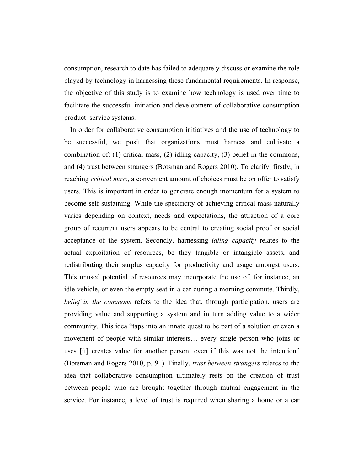consumption, research to date has failed to adequately discuss or examine the role played by technology in harnessing these fundamental requirements. In response, the objective of this study is to examine how technology is used over time to facilitate the successful initiation and development of collaborative consumption product–service systems.

In order for collaborative consumption initiatives and the use of technology to be successful, we posit that organizations must harness and cultivate a combination of: (1) critical mass, (2) idling capacity, (3) belief in the commons, and (4) trust between strangers (Botsman and Rogers 2010). To clarify, firstly, in reaching *critical mass*, a convenient amount of choices must be on offer to satisfy users. This is important in order to generate enough momentum for a system to become self-sustaining. While the specificity of achieving critical mass naturally varies depending on context, needs and expectations, the attraction of a core group of recurrent users appears to be central to creating social proof or social acceptance of the system. Secondly, harnessing *idling capacity* relates to the actual exploitation of resources, be they tangible or intangible assets, and redistributing their surplus capacity for productivity and usage amongst users. This unused potential of resources may incorporate the use of, for instance, an idle vehicle, or even the empty seat in a car during a morning commute. Thirdly, *belief in the commons* refers to the idea that, through participation, users are providing value and supporting a system and in turn adding value to a wider community. This idea "taps into an innate quest to be part of a solution or even a movement of people with similar interests… every single person who joins or uses [it] creates value for another person, even if this was not the intention" (Botsman and Rogers 2010, p. 91). Finally, *trust between strangers* relates to the idea that collaborative consumption ultimately rests on the creation of trust between people who are brought together through mutual engagement in the service. For instance, a level of trust is required when sharing a home or a car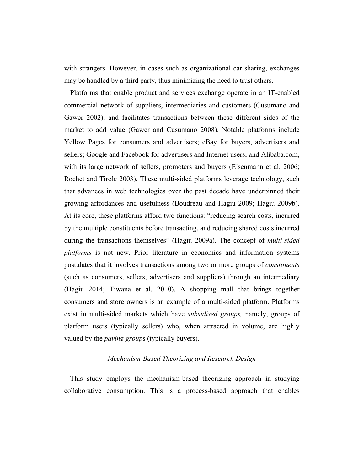with strangers. However, in cases such as organizational car-sharing, exchanges may be handled by a third party, thus minimizing the need to trust others.

Platforms that enable product and services exchange operate in an IT-enabled commercial network of suppliers, intermediaries and customers (Cusumano and Gawer 2002), and facilitates transactions between these different sides of the market to add value (Gawer and Cusumano 2008). Notable platforms include Yellow Pages for consumers and advertisers; eBay for buyers, advertisers and sellers; Google and Facebook for advertisers and Internet users; and Alibaba.com, with its large network of sellers, promoters and buyers (Eisenmann et al. 2006; Rochet and Tirole 2003). These multi-sided platforms leverage technology, such that advances in web technologies over the past decade have underpinned their growing affordances and usefulness (Boudreau and Hagiu 2009; Hagiu 2009b). At its core, these platforms afford two functions: "reducing search costs, incurred by the multiple constituents before transacting, and reducing shared costs incurred during the transactions themselves" (Hagiu 2009a). The concept of *multi-sided platforms* is not new. Prior literature in economics and information systems postulates that it involves transactions among two or more groups of *constituents*  (such as consumers, sellers, advertisers and suppliers) through an intermediary (Hagiu 2014; Tiwana et al. 2010). A shopping mall that brings together consumers and store owners is an example of a multi-sided platform. Platforms exist in multi-sided markets which have *subsidised groups,* namely, groups of platform users (typically sellers) who, when attracted in volume, are highly valued by the *paying group*s (typically buyers).

### *Mechanism-Based Theorizing and Research Design*

This study employs the mechanism-based theorizing approach in studying collaborative consumption. This is a process-based approach that enables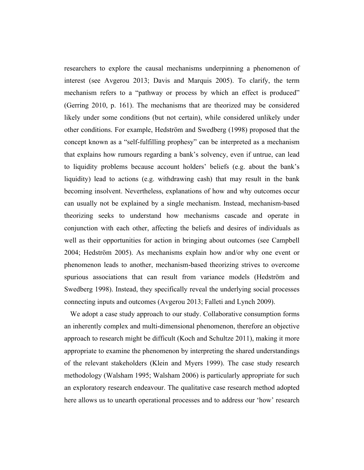researchers to explore the causal mechanisms underpinning a phenomenon of interest (see Avgerou 2013; Davis and Marquis 2005). To clarify, the term mechanism refers to a "pathway or process by which an effect is produced" (Gerring 2010, p. 161). The mechanisms that are theorized may be considered likely under some conditions (but not certain), while considered unlikely under other conditions. For example, Hedström and Swedberg (1998) proposed that the concept known as a "self-fulfilling prophesy" can be interpreted as a mechanism that explains how rumours regarding a bank's solvency, even if untrue, can lead to liquidity problems because account holders' beliefs (e.g. about the bank's liquidity) lead to actions (e.g. withdrawing cash) that may result in the bank becoming insolvent. Nevertheless, explanations of how and why outcomes occur can usually not be explained by a single mechanism. Instead, mechanism-based theorizing seeks to understand how mechanisms cascade and operate in conjunction with each other, affecting the beliefs and desires of individuals as well as their opportunities for action in bringing about outcomes (see Campbell 2004; Hedström 2005). As mechanisms explain how and/or why one event or phenomenon leads to another, mechanism-based theorizing strives to overcome spurious associations that can result from variance models (Hedström and Swedberg 1998). Instead, they specifically reveal the underlying social processes connecting inputs and outcomes (Avgerou 2013; Falleti and Lynch 2009).

We adopt a case study approach to our study. Collaborative consumption forms an inherently complex and multi-dimensional phenomenon, therefore an objective approach to research might be difficult (Koch and Schultze 2011), making it more appropriate to examine the phenomenon by interpreting the shared understandings of the relevant stakeholders (Klein and Myers 1999). The case study research methodology (Walsham 1995; Walsham 2006) is particularly appropriate for such an exploratory research endeavour. The qualitative case research method adopted here allows us to unearth operational processes and to address our 'how' research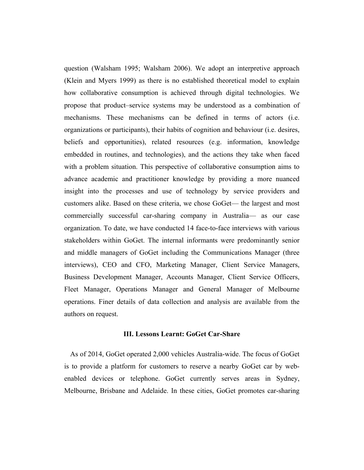question (Walsham 1995; Walsham 2006). We adopt an interpretive approach (Klein and Myers 1999) as there is no established theoretical model to explain how collaborative consumption is achieved through digital technologies. We propose that product–service systems may be understood as a combination of mechanisms. These mechanisms can be defined in terms of actors (i.e. organizations or participants), their habits of cognition and behaviour (i.e. desires, beliefs and opportunities), related resources (e.g. information, knowledge embedded in routines, and technologies), and the actions they take when faced with a problem situation. This perspective of collaborative consumption aims to advance academic and practitioner knowledge by providing a more nuanced insight into the processes and use of technology by service providers and customers alike. Based on these criteria, we chose GoGet— the largest and most commercially successful car-sharing company in Australia— as our case organization. To date, we have conducted 14 face-to-face interviews with various stakeholders within GoGet. The internal informants were predominantly senior and middle managers of GoGet including the Communications Manager (three interviews), CEO and CFO, Marketing Manager, Client Service Managers, Business Development Manager, Accounts Manager, Client Service Officers, Fleet Manager, Operations Manager and General Manager of Melbourne operations. Finer details of data collection and analysis are available from the authors on request.

# **III. Lessons Learnt: GoGet Car-Share**

As of 2014, GoGet operated 2,000 vehicles Australia-wide. The focus of GoGet is to provide a platform for customers to reserve a nearby GoGet car by webenabled devices or telephone. GoGet currently serves areas in Sydney, Melbourne, Brisbane and Adelaide. In these cities, GoGet promotes car-sharing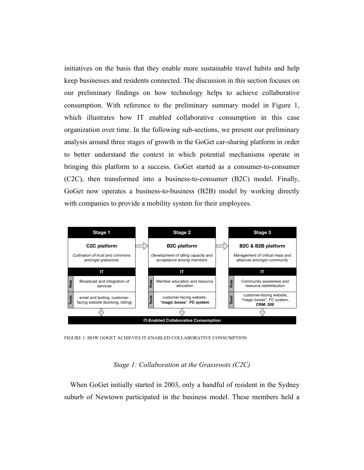initiatives on the basis that they enable more sustainable travel habits and help keep businesses and residents connected. The discussion in this section focuses on our preliminary findings on how technology helps to achieve collaborative consumption. With reference to the preliminary summary model in Figure 1, which illustrates how IT enabled collaborative consumption in this case organization over time. In the following sub-sections, we present our preliminary analysis around three stages of growth in the GoGet car-sharing platform in order to better understand the context in which potential mechanisms operate in bringing this platform to a success. GoGet started as a consumer-to-consumer (C2C), then transformed into a business-to-consumer (B2C) model. Finally, GoGet now operates a business-to-business (B2B) model by working directly with companies to provide a mobility system for their employees.



FIGURE 1: HOW GOGET ACHIEVES IT-ENABLED COLLABORATIVE CONSUMPTION

### *Stage 1: Collaboration at the Grassroots (C2C)*

When GoGet initially started in 2003, only a handful of resident in the Sydney suburb of Newtown participated in the business model. These members held a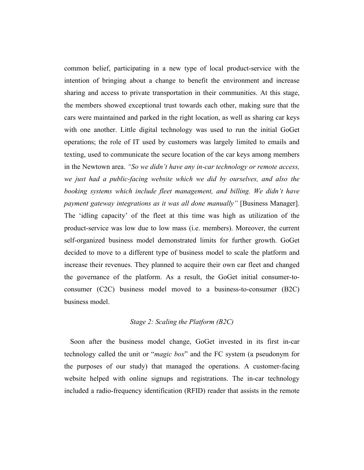common belief, participating in a new type of local product-service with the intention of bringing about a change to benefit the environment and increase sharing and access to private transportation in their communities. At this stage, the members showed exceptional trust towards each other, making sure that the cars were maintained and parked in the right location, as well as sharing car keys with one another. Little digital technology was used to run the initial GoGet operations; the role of IT used by customers was largely limited to emails and texting, used to communicate the secure location of the car keys among members in the Newtown area. *"So we didn't have any in-car technology or remote access, we just had a public-facing website which we did by ourselves, and also the booking systems which include fleet management, and billing. We didn't have payment gateway integrations as it was all done manually"* [Business Manager]. The 'idling capacity' of the fleet at this time was high as utilization of the product-service was low due to low mass (i.e. members). Moreover, the current self-organized business model demonstrated limits for further growth. GoGet decided to move to a different type of business model to scale the platform and increase their revenues. They planned to acquire their own car fleet and changed the governance of the platform. As a result, the GoGet initial consumer-toconsumer (C2C) business model moved to a business-to-consumer (B2C) business model.

# *Stage 2: Scaling the Platform (B2C)*

Soon after the business model change, GoGet invested in its first in-car technology called the unit or "*magic box*" and the FC system (a pseudonym for the purposes of our study) that managed the operations. A customer-facing website helped with online signups and registrations. The in-car technology included a radio-frequency identification (RFID) reader that assists in the remote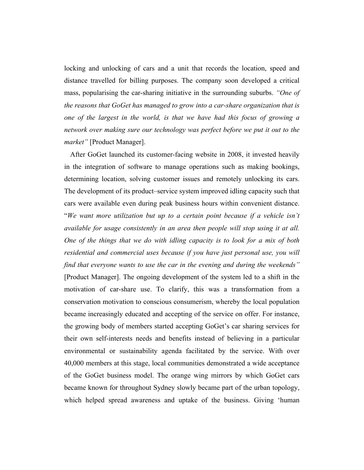locking and unlocking of cars and a unit that records the location, speed and distance travelled for billing purposes. The company soon developed a critical mass, popularising the car-sharing initiative in the surrounding suburbs. *"One of the reasons that GoGet has managed to grow into a car-share organization that is one of the largest in the world, is that we have had this focus of growing a network over making sure our technology was perfect before we put it out to the market"* [Product Manager].

After GoGet launched its customer-facing website in 2008, it invested heavily in the integration of software to manage operations such as making bookings, determining location, solving customer issues and remotely unlocking its cars. The development of its product–service system improved idling capacity such that cars were available even during peak business hours within convenient distance. "*We want more utilization but up to a certain point because if a vehicle isn't available for usage consistently in an area then people will stop using it at all. One of the things that we do with idling capacity is to look for a mix of both residential and commercial uses because if you have just personal use, you will find that everyone wants to use the car in the evening and during the weekends"* [Product Manager]. The ongoing development of the system led to a shift in the motivation of car-share use. To clarify, this was a transformation from a conservation motivation to conscious consumerism, whereby the local population became increasingly educated and accepting of the service on offer. For instance, the growing body of members started accepting GoGet's car sharing services for their own self-interests needs and benefits instead of believing in a particular environmental or sustainability agenda facilitated by the service. With over 40,000 members at this stage, local communities demonstrated a wide acceptance of the GoGet business model. The orange wing mirrors by which GoGet cars became known for throughout Sydney slowly became part of the urban topology, which helped spread awareness and uptake of the business. Giving 'human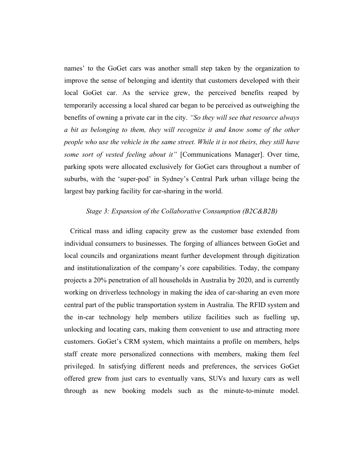names' to the GoGet cars was another small step taken by the organization to improve the sense of belonging and identity that customers developed with their local GoGet car. As the service grew, the perceived benefits reaped by temporarily accessing a local shared car began to be perceived as outweighing the benefits of owning a private car in the city. *"So they will see that resource always a bit as belonging to them, they will recognize it and know some of the other people who use the vehicle in the same street. While it is not theirs, they still have some sort of vested feeling about it"* [Communications Manager]. Over time, parking spots were allocated exclusively for GoGet cars throughout a number of suburbs, with the 'super-pod' in Sydney's Central Park urban village being the largest bay parking facility for car-sharing in the world.

#### *Stage 3: Expansion of the Collaborative Consumption (B2C&B2B)*

Critical mass and idling capacity grew as the customer base extended from individual consumers to businesses. The forging of alliances between GoGet and local councils and organizations meant further development through digitization and institutionalization of the company's core capabilities. Today, the company projects a 20% penetration of all households in Australia by 2020, and is currently working on driverless technology in making the idea of car-sharing an even more central part of the public transportation system in Australia. The RFID system and the in-car technology help members utilize facilities such as fuelling up, unlocking and locating cars, making them convenient to use and attracting more customers. GoGet's CRM system, which maintains a profile on members, helps staff create more personalized connections with members, making them feel privileged. In satisfying different needs and preferences, the services GoGet offered grew from just cars to eventually vans, SUVs and luxury cars as well through as new booking models such as the minute-to-minute model.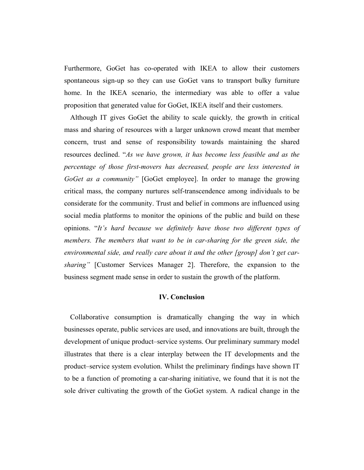Furthermore, GoGet has co-operated with IKEA to allow their customers spontaneous sign-up so they can use GoGet vans to transport bulky furniture home. In the IKEA scenario, the intermediary was able to offer a value proposition that generated value for GoGet, IKEA itself and their customers.

Although IT gives GoGet the ability to scale quickly*,* the growth in critical mass and sharing of resources with a larger unknown crowd meant that member concern, trust and sense of responsibility towards maintaining the shared resources declined. "*As we have grown, it has become less feasible and as the percentage of those first-movers has decreased, people are less interested in GoGet as a community"* [GoGet employee]. In order to manage the growing critical mass, the company nurtures self-transcendence among individuals to be considerate for the community. Trust and belief in commons are influenced using social media platforms to monitor the opinions of the public and build on these opinions. "*It's hard because we definitely have those two different types of members. The members that want to be in car-sharing for the green side, the environmental side, and really care about it and the other [group] don't get carsharing"* [Customer Services Manager 2]. Therefore, the expansion to the business segment made sense in order to sustain the growth of the platform.

# **IV. Conclusion**

Collaborative consumption is dramatically changing the way in which businesses operate, public services are used, and innovations are built, through the development of unique product–service systems. Our preliminary summary model illustrates that there is a clear interplay between the IT developments and the product–service system evolution. Whilst the preliminary findings have shown IT to be a function of promoting a car-sharing initiative, we found that it is not the sole driver cultivating the growth of the GoGet system. A radical change in the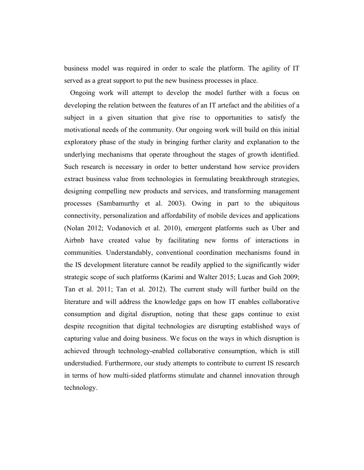business model was required in order to scale the platform. The agility of IT served as a great support to put the new business processes in place.

Ongoing work will attempt to develop the model further with a focus on developing the relation between the features of an IT artefact and the abilities of a subject in a given situation that give rise to opportunities to satisfy the motivational needs of the community. Our ongoing work will build on this initial exploratory phase of the study in bringing further clarity and explanation to the underlying mechanisms that operate throughout the stages of growth identified. Such research is necessary in order to better understand how service providers extract business value from technologies in formulating breakthrough strategies, designing compelling new products and services, and transforming management processes (Sambamurthy et al. 2003). Owing in part to the ubiquitous connectivity, personalization and affordability of mobile devices and applications (Nolan 2012; Vodanovich et al. 2010), emergent platforms such as Uber and Airbnb have created value by facilitating new forms of interactions in communities. Understandably, conventional coordination mechanisms found in the IS development literature cannot be readily applied to the significantly wider strategic scope of such platforms (Karimi and Walter 2015; Lucas and Goh 2009; Tan et al. 2011; Tan et al. 2012). The current study will further build on the literature and will address the knowledge gaps on how IT enables collaborative consumption and digital disruption, noting that these gaps continue to exist despite recognition that digital technologies are disrupting established ways of capturing value and doing business. We focus on the ways in which disruption is achieved through technology-enabled collaborative consumption, which is still understudied. Furthermore, our study attempts to contribute to current IS research in terms of how multi-sided platforms stimulate and channel innovation through technology.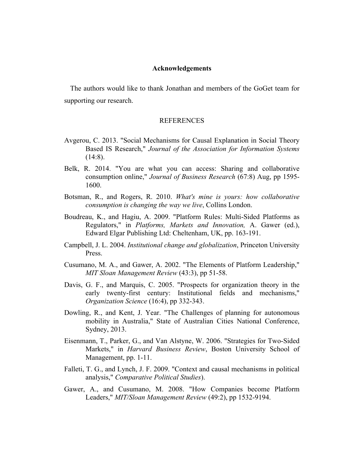# **Acknowledgements**

The authors would like to thank Jonathan and members of the GoGet team for supporting our research.

# REFERENCES

- Avgerou, C. 2013. "Social Mechanisms for Causal Explanation in Social Theory Based IS Research," *Journal of the Association for Information Systems*  $(14:8)$ .
- Belk, R. 2014. "You are what you can access: Sharing and collaborative consumption online," *Journal of Business Research* (67:8) Aug, pp 1595- 1600.
- Botsman, R., and Rogers, R. 2010. *What's mine is yours: how collaborative consumption is changing the way we live*, Collins London.
- Boudreau, K., and Hagiu, A. 2009. "Platform Rules: Multi-Sided Platforms as Regulators," in *Platforms, Markets and Innovation,* A. Gawer (ed.), Edward Elgar Publishing Ltd: Cheltenham, UK, pp. 163-191.
- Campbell, J. L. 2004. *Institutional change and globalization*, Princeton University Press.
- Cusumano, M. A., and Gawer, A. 2002. "The Elements of Platform Leadership," *MIT Sloan Management Review* (43:3), pp 51-58.
- Davis, G. F., and Marquis, C. 2005. "Prospects for organization theory in the early twenty-first century: Institutional fields and mechanisms," *Organization Science* (16:4), pp 332-343.
- Dowling, R., and Kent, J. Year. "The Challenges of planning for autonomous mobility in Australia," State of Australian Cities National Conference, Sydney, 2013.
- Eisenmann, T., Parker, G., and Van Alstyne, W. 2006. "Strategies for Two-Sided Markets," in *Harvard Business Review*, Boston University School of Management, pp. 1-11.
- Falleti, T. G., and Lynch, J. F. 2009. "Context and causal mechanisms in political analysis," *Comparative Political Studies*).
- Gawer, A., and Cusumano, M. 2008. "How Companies become Platform Leaders," *MIT/Sloan Management Review* (49:2), pp 1532-9194.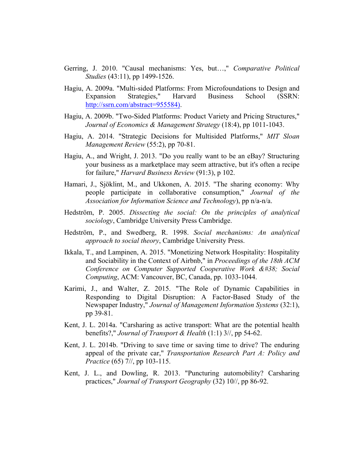- Gerring, J. 2010. "Causal mechanisms: Yes, but…," *Comparative Political Studies* (43:11), pp 1499-1526.
- Hagiu, A. 2009a. "Multi-sided Platforms: From Microfoundations to Design and Expansion Strategies," Harvard Business School (SSRN: http://ssrn.com/abstract=955584).
- Hagiu, A. 2009b. "Two-Sided Platforms: Product Variety and Pricing Structures," *Journal of Economics & Management Strategy* (18:4), pp 1011-1043.
- Hagiu, A. 2014. "Strategic Decisions for Multisided Platforms," *MIT Sloan Management Review* (55:2), pp 70-81.
- Hagiu, A., and Wright, J. 2013. "Do you really want to be an eBay? Structuring your business as a marketplace may seem attractive, but it's often a recipe for failure," *Harvard Business Review* (91:3), p 102.
- Hamari, J., Sjöklint, M., and Ukkonen, A. 2015. "The sharing economy: Why people participate in collaborative consumption," *Journal of the Association for Information Science and Technology*), pp n/a-n/a.
- Hedström, P. 2005. *Dissecting the social: On the principles of analytical sociology*, Cambridge University Press Cambridge.
- Hedström, P., and Swedberg, R. 1998. *Social mechanisms: An analytical approach to social theory*, Cambridge University Press.
- Ikkala, T., and Lampinen, A. 2015. "Monetizing Network Hospitality: Hospitality and Sociability in the Context of Airbnb," in *Proceedings of the 18th ACM Conference on Computer Supported Cooperative Work & Social Computing*, ACM: Vancouver, BC, Canada, pp. 1033-1044.
- Karimi, J., and Walter, Z. 2015. "The Role of Dynamic Capabilities in Responding to Digital Disruption: A Factor-Based Study of the Newspaper Industry," *Journal of Management Information Systems* (32:1), pp 39-81.
- Kent, J. L. 2014a. "Carsharing as active transport: What are the potential health benefits?," *Journal of Transport & Health* (1:1) 3//, pp 54-62.
- Kent, J. L. 2014b. "Driving to save time or saving time to drive? The enduring appeal of the private car," *Transportation Research Part A: Policy and Practice* (65) 7//, pp 103-115.
- Kent, J. L., and Dowling, R. 2013. "Puncturing automobility? Carsharing practices," *Journal of Transport Geography* (32) 10//, pp 86-92.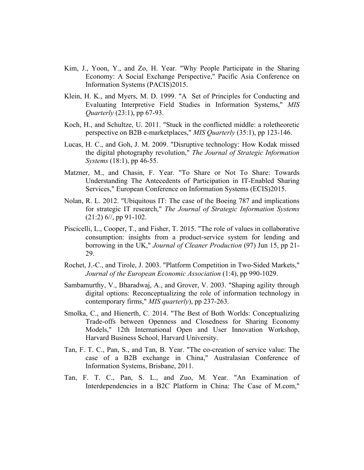- Kim, J., Yoon, Y., and Zo, H. Year. "Why People Participate in the Sharing Economy: A Social Exchange Perspective," Pacific Asia Conference on Information Systems (PACIS)2015.
- Klein, H. K., and Myers, M. D. 1999. "A Set of Principles for Conducting and Evaluating Interpretive Field Studies in Information Systems," *MIS Quarterly* (23:1), pp 67-93.
- Koch, H., and Schultze, U. 2011. "Stuck in the conflicted middle: a roletheoretic perspective on B2B e-marketplaces," *MIS Quarterly* (35:1), pp 123-146.
- Lucas, H. C., and Goh, J. M. 2009. "Disruptive technology: How Kodak missed the digital photography revolution," *The Journal of Strategic Information Systems* (18:1), pp 46-55.
- Matzner, M., and Chasin, F. Year. "To Share or Not To Share: Towards Understanding The Antecedents of Participation in IT-Enabled Sharing Services," European Conference on Information Systems (ECIS)2015.
- Nolan, R. L. 2012. "Ubiquitous IT: The case of the Boeing 787 and implications for strategic IT research," *The Journal of Strategic Information Systems* (21:2) 6//, pp 91-102.
- Piscicelli, L., Cooper, T., and Fisher, T. 2015. "The role of values in collaborative consumption: insights from a product-service system for lending and borrowing in the UK," *Journal of Cleaner Production* (97) Jun 15, pp 21- 29.
- Rochet, J.-C., and Tirole, J. 2003. "Platform Competition in Two-Sided Markets," *Journal of the European Economic Association* (1:4), pp 990-1029.
- Sambamurthy, V., Bharadwaj, A., and Grover, V. 2003. "Shaping agility through digital options: Reconceptualizing the role of information technology in contemporary firms," *MIS quarterly*), pp 237-263.
- Smolka, C., and Hienerth, C. 2014. "The Best of Both Worlds: Conceptualizing Trade-offs between Openness and Closedness for Sharing Economy Models," 12th International Open and User Innovation Workshop, Harvard Business School, Harvard University.
- Tan, F. T. C., Pan, S., and Tan, B. Year. "The co-creation of service value: The case of a B2B exchange in China," Australasian Conference of Information Systems, Brisbane, 2011.
- Tan, F. T. C., Pan, S. L., and Zuo, M. Year. "An Examination of Interdependencies in a B2C Platform in China: The Case of M.com,"